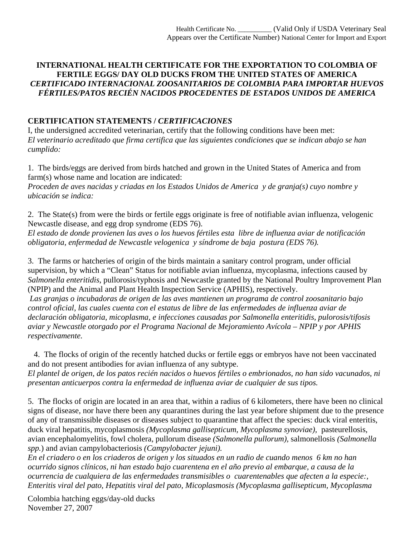## **INTERNATIONAL HEALTH CERTIFICATE FOR THE EXPORTATION TO COLOMBIA OF FERTILE EGGS/ DAY OLD DUCKS FROM THE UNITED STATES OF AMERICA**  *CERTIFICADO INTERNACIONAL ZOOSANITARIOS DE COLOMBIA PARA IMPORTAR HUEVOS FÉRTILES/PATOS RECIÉN NACIDOS PROCEDENTES DE ESTADOS UNIDOS DE AMERICA*

## **CERTIFICATION STATEMENTS /** *CERTIFICACIONES*

I, the undersigned accredited veterinarian, certify that the following conditions have been met: *El veterinario acreditado que firma certifica que las siguientes condiciones que se indican abajo se han cumplido:*

1. The birds/eggs are derived from birds hatched and grown in the United States of America and from farm(s) whose name and location are indicated: *Proceden de aves nacidas y criadas en los Estados Unidos de America y de granja(s) cuyo nombre y ubicación se indica:* 

2. The State(s) from were the birds or fertile eggs originate is free of notifiable avian influenza, velogenic Newcastle disease, and egg drop syndrome (EDS 76).

*El estado de donde provienen las aves o los huevos fértiles esta libre de influenza aviar de notificación obligatoria, enfermedad de Newcastle velogenica y síndrome de baja postura (EDS 76).* 

3. The farms or hatcheries of origin of the birds maintain a sanitary control program, under official supervision, by which a "Clean" Status for notifiable avian influenza, mycoplasma, infections caused by *Salmonella enteritidis*, pullorosis/typhosis and Newcastle granted by the National Poultry Improvement Plan (NPIP) and the Animal and Plant Health Inspection Service (APHIS), respectively.

 *Las granjas o incubadoras de origen de las aves mantienen un programa de control zoosanitario bajo control oficial, las cuales cuenta con el estatus de libre de las enfermedades de influenza aviar de declaración obligatoria, micoplasma, e infecciones causadas por Salmonella enteritidis, pulorosis/tifosis aviar y Newcastle otorgado por el Programa Nacional de Mejoramiento Avícola – NPIP y por APHIS respectivamente.* 

4. The flocks of origin of the recently hatched ducks or fertile eggs or embryos have not been vaccinated and do not present antibodies for avian influenza of any subtype.

*El plantel de origen, de los patos recién nacidos o huevos fértiles o embrionados, no han sido vacunados, ni presentan anticuerpos contra la enfermedad de influenza aviar de cualquier de sus tipos.* 

5. The flocks of origin are located in an area that, within a radius of 6 kilometers, there have been no clinical signs of disease, nor have there been any quarantines during the last year before shipment due to the presence of any of transmissible diseases or diseases subject to quarantine that affect the species: duck viral enteritis, duck viral hepatitis, mycoplasmosis *(Mycoplasma gallisepticum, Mycoplasma synoviae),* pasteurellosis, avian encephalomyelitis, fowl cholera, pullorum disease *(Salmonella pullorum),* salmonellosis *(Salmonella spp.*) and avian campylobacteriosis *(Campylobacter jejuni).* 

*En el criadero o en los criaderos de origen y los situados en un radio de cuando menos 6 km no han ocurrido signos clínicos, ni han estado bajo cuarentena en el año previo al embarque, a causa de la ocurrencia de cualquiera de las enfermedades transmisibles o cuarentenables que afecten a la especie:, Enteritis viral del pato, Hepatitis viral del pato, Micoplasmosis (Mycoplasma gallisepticum, Mycoplasma* 

Colombia hatching eggs/day-old ducks November 27, 2007